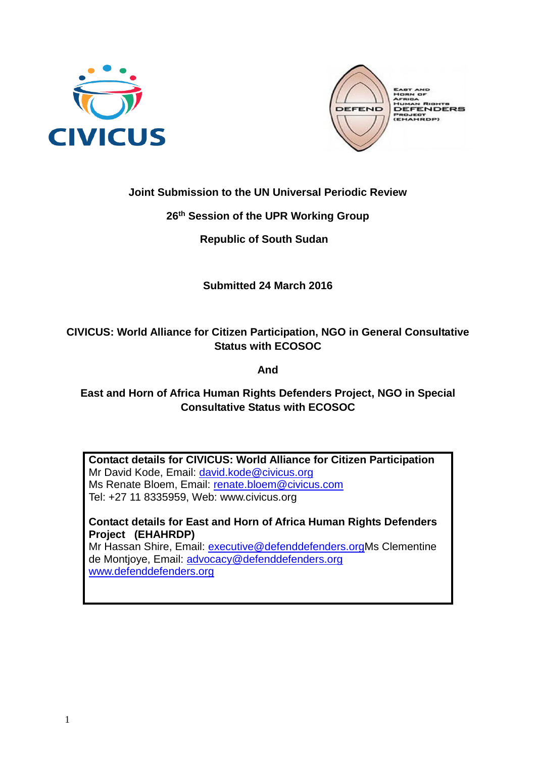



## **Joint Submission to the UN Universal Periodic Review**

## **26th Session of the UPR Working Group**

 **Republic of South Sudan** 

# **Submitted 24 March 2016**

# **CIVICUS: World Alliance for Citizen Participation, NGO in General Consultative Status with ECOSOC**

**And**

# **East and Horn of Africa Human Rights Defenders Project, NGO in Special Consultative Status with ECOSOC**

**Contact details for CIVICUS: World Alliance for Citizen Participation** Mr David Kode, Email: [david.kode@civicus.org](mailto:david.kode@civicus.org) Ms Renate Bloem, Email: [renate.bloem@civicus.com](mailto:renate.bloem@civicus.com) Tel: +27 11 8335959, Web: [www.civicus.org](http://www.civicus.org/)

**Contact details for East and Horn of Africa Human Rights Defenders Project (EHAHRDP)**

Mr Hassan Shire, Email: [executive@defenddefenders.orgM](mailto:executive@defenddefenders.org)s Clementine de Montjoye, Email: [advocacy@defenddefenders.org](mailto:advocacy@defenddefenders.org) [www.defenddefenders.org](http://www.defenddefenders.org/)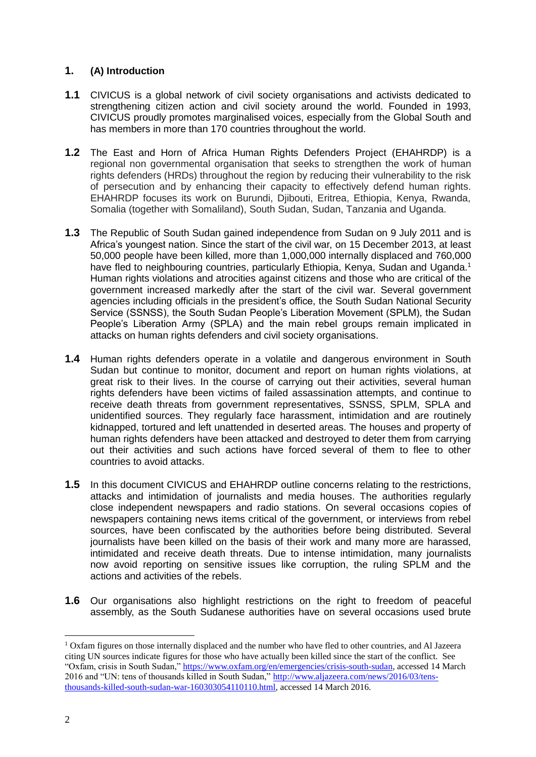## **1. (A) Introduction**

- **1.1** CIVICUS is a global network of civil society organisations and activists dedicated to strengthening citizen action and civil society around the world. Founded in 1993, CIVICUS proudly promotes marginalised voices, especially from the Global South and has members in more than 170 countries throughout the world.
- **1.2** The East and Horn of Africa Human Rights Defenders Project (EHAHRDP) is a regional non governmental organisation that seeks to strengthen the work of human rights defenders (HRDs) throughout the region by reducing their vulnerability to the risk of persecution and by enhancing their capacity to effectively defend human rights. EHAHRDP focuses its work on Burundi, Djibouti, Eritrea, Ethiopia, Kenya, Rwanda, Somalia (together with Somaliland), South Sudan, Sudan, Tanzania and Uganda.
- **1.3** The Republic of South Sudan gained independence from Sudan on 9 July 2011 and is Africa's youngest nation. Since the start of the civil war, on 15 December 2013, at least 50,000 people have been killed, more than 1,000,000 internally displaced and 760,000 have fled to neighbouring countries, particularly Ethiopia, Kenya, Sudan and Uganda.<sup>1</sup> Human rights violations and atrocities against citizens and those who are critical of the government increased markedly after the start of the civil war. Several government agencies including officials in the president's office, the South Sudan National Security Service (SSNSS), the South Sudan People's Liberation Movement (SPLM), the Sudan People's Liberation Army (SPLA) and the main rebel groups remain implicated in attacks on human rights defenders and civil society organisations.
- **1.4** Human rights defenders operate in a volatile and dangerous environment in South Sudan but continue to monitor, document and report on human rights violations, at great risk to their lives. In the course of carrying out their activities, several human rights defenders have been victims of failed assassination attempts, and continue to receive death threats from government representatives, SSNSS, SPLM, SPLA and unidentified sources. They regularly face harassment, intimidation and are routinely kidnapped, tortured and left unattended in deserted areas. The houses and property of human rights defenders have been attacked and destroyed to deter them from carrying out their activities and such actions have forced several of them to flee to other countries to avoid attacks.
- **1.5** In this document CIVICUS and EHAHRDP outline concerns relating to the restrictions, attacks and intimidation of journalists and media houses. The authorities regularly close independent newspapers and radio stations. On several occasions copies of newspapers containing news items critical of the government, or interviews from rebel sources, have been confiscated by the authorities before being distributed. Several journalists have been killed on the basis of their work and many more are harassed, intimidated and receive death threats. Due to intense intimidation, many journalists now avoid reporting on sensitive issues like corruption, the ruling SPLM and the actions and activities of the rebels.
- **1.6** Our organisations also highlight restrictions on the right to freedom of peaceful assembly, as the South Sudanese authorities have on several occasions used brute

<u>.</u>

<sup>1</sup> Oxfam figures on those internally displaced and the number who have fled to other countries, and Al Jazeera citing UN sources indicate figures for those who have actually been killed since the start of the conflict. See "Oxfam, crisis in South Sudan," [https://www.oxfam.org/en/emergencies/crisis-south-sudan,](https://www.oxfam.org/en/emergencies/crisis-south-sudan) accessed 14 March 2016 and "UN: tens of thousands killed in South Sudan," [http://www.aljazeera.com/news/2016/03/tens](http://www.aljazeera.com/news/2016/03/tens-thousands-killed-south-sudan-war-160303054110110.html)[thousands-killed-south-sudan-war-160303054110110.html,](http://www.aljazeera.com/news/2016/03/tens-thousands-killed-south-sudan-war-160303054110110.html) accessed 14 March 2016.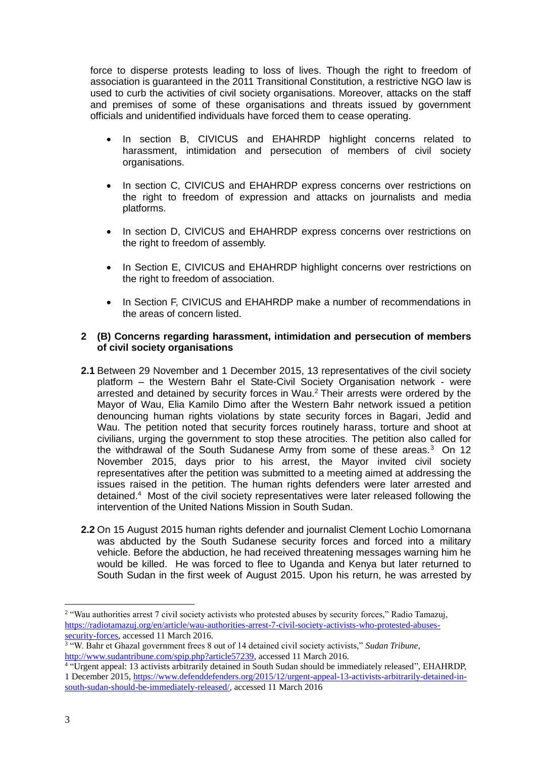force to disperse protests leading to loss of lives. Though the right to freedom of association is guaranteed in the 2011 Transitional Constitution, a restrictive NGO law is used to curb the activities of civil society organisations. Moreover, attacks on the staff and premises of some of these organisations and threats issued by government officials and unidentified individuals have forced them to cease operating.

- In section B, CIVICUS and EHAHRDP highlight concerns related to harassment, intimidation and persecution of members of civil society organisations.
- In section C, CIVICUS and EHAHRDP express concerns over restrictions on the right to freedom of expression and attacks on journalists and media platforms.
- In section D, CIVICUS and EHAHRDP express concerns over restrictions on the right to freedom of assembly.
- In Section E, CIVICUS and EHAHRDP highlight concerns over restrictions on the right to freedom of association.
- In Section F, CIVICUS and EHAHRDP make a number of recommendations in the areas of concern listed.

### **2 (B) Concerns regarding harassment, intimidation and persecution of members of civil society organisations**

- **2.1** Between 29 November and 1 December 2015, 13 representatives of the civil society platform – the Western Bahr el State-Civil Society Organisation network - were arrested and detained by security forces in Wau.<sup>2</sup> Their arrests were ordered by the Mayor of Wau, Elia Kamilo Dimo after the Western Bahr network issued a petition denouncing human rights violations by state security forces in Bagari, Jedid and Wau. The petition noted that security forces routinely harass, torture and shoot at civilians, urging the government to stop these atrocities. The petition also called for the withdrawal of the South Sudanese Army from some of these areas.<sup>3</sup> On 12 November 2015, days prior to his arrest, the Mayor invited civil society representatives after the petition was submitted to a meeting aimed at addressing the issues raised in the petition. The human rights defenders were later arrested and detained.<sup>4</sup> Most of the civil society representatives were later released following the intervention of the United Nations Mission in South Sudan.
- **2.2** On 15 August 2015 human rights defender and journalist Clement Lochio Lomornana was abducted by the South Sudanese security forces and forced into a military vehicle. Before the abduction, he had received threatening messages warning him he would be killed. He was forced to flee to Uganda and Kenya but later returned to South Sudan in the first week of August 2015. Upon his return, he was arrested by

<sup>&</sup>lt;sup>2</sup> "Wau authorities arrest 7 civil society activists who protested abuses by security forces," Radio Tamazuj, [https://radiotamazuj.org/en/article/wau-authorities-arrest-7-civil-society-activists-who-protested-abuses](https://radiotamazuj.org/en/article/wau-authorities-arrest-7-civil-society-activists-who-protested-abuses-security-forces)[security-forces,](https://radiotamazuj.org/en/article/wau-authorities-arrest-7-civil-society-activists-who-protested-abuses-security-forces) accessed 11 March 2016.

<sup>&</sup>lt;sup>3</sup> "W. Bahr et Ghazal government frees 8 out of 14 detained civil society activists," Sudan Tribune, [http://www.sudantribune.com/spip.php?article57239,](http://www.sudantribune.com/spip.php?article57239) accessed 11 March 2016.

<sup>4</sup> "Urgent appeal: 13 activists arbitrarily detained in South Sudan should be immediately released", EHAHRDP, 1 December 2015, [https://www.defenddefenders.org/2015/12/urgent-appeal-13-activists-arbitrarily-detained-in](https://www.defenddefenders.org/2015/12/urgent-appeal-13-activists-arbitrarily-detained-in-south-sudan-should-be-immediately-released/)[south-sudan-should-be-immediately-released/,](https://www.defenddefenders.org/2015/12/urgent-appeal-13-activists-arbitrarily-detained-in-south-sudan-should-be-immediately-released/) accessed 11 March 2016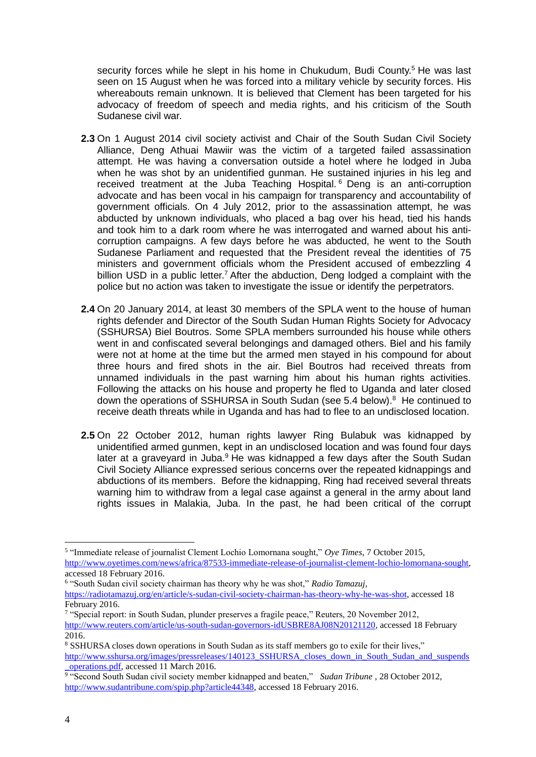security forces while he slept in his home in Chukudum, Budi County.<sup>5</sup> He was last seen on 15 August when he was forced into a military vehicle by security forces. His whereabouts remain unknown. It is believed that Clement has been targeted for his advocacy of freedom of speech and media rights, and his criticism of the South Sudanese civil war.

- **2.3** On 1 August 2014 civil society activist and Chair of the South Sudan Civil Society Alliance, Deng Athuai Mawiir was the victim of a targeted failed assassination attempt. He was having a conversation outside a hotel where he lodged in Juba when he was shot by an unidentified gunman. He sustained injuries in his leg and received treatment at the Juba Teaching Hospital. <sup>6</sup> Deng is an anti-corruption advocate and has been vocal in his campaign for transparency and accountability of government officials. On 4 July 2012, prior to the assassination attempt, he was abducted by unknown individuals, who placed a bag over his head, tied his hands and took him to a dark room where he was interrogated and warned about his anticorruption campaigns. A few days before he was abducted, he went to the South Sudanese Parliament and requested that the President reveal the identities of 75 ministers and government officials whom the President accused of embezzling 4 billion USD in a public letter.<sup>7</sup> After the abduction. Deng lodged a complaint with the police but no action was taken to investigate the issue or identify the perpetrators.
- **2.4** On 20 January 2014, at least 30 members of the SPLA went to the house of human rights defender and Director of the South Sudan Human Rights Society for Advocacy (SSHURSA) Biel Boutros. Some SPLA members surrounded his house while others went in and confiscated several belongings and damaged others. Biel and his family were not at home at the time but the armed men stayed in his compound for about three hours and fired shots in the air. Biel Boutros had received threats from unnamed individuals in the past warning him about his human rights activities. Following the attacks on his house and property he fled to Uganda and later closed down the operations of SSHURSA in South Sudan (see 5.4 below).<sup>8</sup> He continued to receive death threats while in Uganda and has had to flee to an undisclosed location.
- **2.5** On 22 October 2012, human rights lawyer Ring Bulabuk was kidnapped by unidentified armed gunmen, kept in an undisclosed location and was found four days later at a graveyard in Juba.<sup>9</sup> He was kidnapped a few days after the South Sudan Civil Society Alliance expressed serious concerns over the repeated kidnappings and abductions of its members. Before the kidnapping, Ring had received several threats warning him to withdraw from a legal case against a general in the army about land rights issues in Malakia, Juba. In the past, he had been critical of the corrupt

6 "South Sudan civil society chairman has theory why he was shot," *Radio Tamazuj,*

<sup>5</sup> "Immediate release of journalist Clement Lochio Lomornana sought," *Oye Times*, 7 October 2015, [http://www.oyetimes.com/news/africa/87533-immediate-release-of-journalist-clement-lochio-lomornana-sought,](http://www.oyetimes.com/news/africa/87533-immediate-release-of-journalist-clement-lochio-lomornana-sought) accessed 18 February 2016.

[https://radiotamazuj.org/en/article/s-sudan-civil-society-chairman-has-theory-why-he-was-shot,](https://radiotamazuj.org/en/article/s-sudan-civil-society-chairman-has-theory-why-he-was-shot) accessed 18 February 2016.

<sup>7</sup> "Special report: in South Sudan, plunder preserves a fragile peace," Reuters, 20 November 2012, [http://www.reuters.com/article/us-south-sudan-governors-idUSBRE8AJ08N20121120,](http://www.reuters.com/article/us-south-sudan-governors-idUSBRE8AJ08N20121120) accessed 18 February 2016.

<sup>8</sup> SSHURSA closes down operations in South Sudan as its staff members go to exile for their lives," [http://www.sshursa.org/images/pressreleases/140123\\_SSHURSA\\_closes\\_down\\_in\\_South\\_Sudan\\_and\\_suspends](http://www.sshursa.org/images/pressreleases/140123_SSHURSA_closes_down_in_South_Sudan_and_suspends_operations.pdf) [\\_operations.pdf,](http://www.sshursa.org/images/pressreleases/140123_SSHURSA_closes_down_in_South_Sudan_and_suspends_operations.pdf) accessed 11 March 2016.

<sup>9</sup> "Second South Sudan civil society member kidnapped and beaten," *Sudan Tribune* , 28 October 2012, [http://www.sudantribune.com/spip.php?article44348,](http://www.sudantribune.com/spip.php?article44348) accessed 18 February 2016.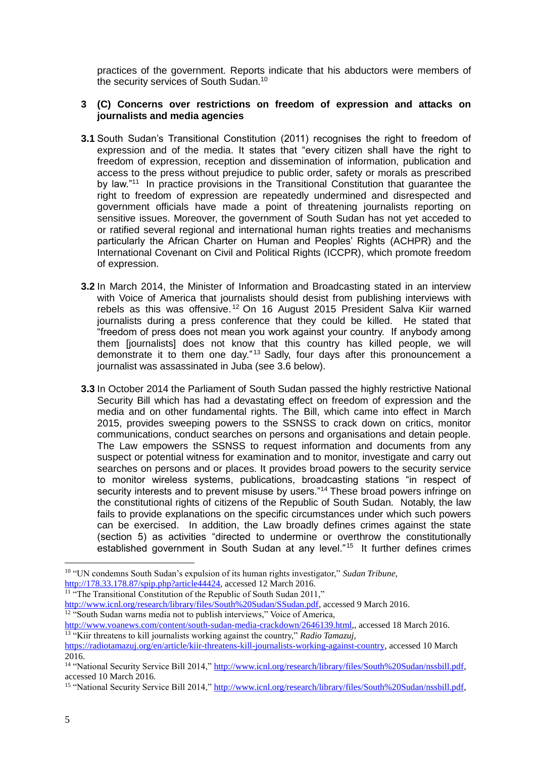practices of the government. Reports indicate that his abductors were members of the security services of South Sudan.<sup>10</sup>

#### **3 (C) Concerns over restrictions on freedom of expression and attacks on journalists and media agencies**

- **3.1** South Sudan's Transitional Constitution (2011) recognises the right to freedom of expression and of the media. It states that "every citizen shall have the right to freedom of expression, reception and dissemination of information, publication and access to the press without prejudice to public order, safety or morals as prescribed by law."<sup>11</sup> In practice provisions in the Transitional Constitution that guarantee the right to freedom of expression are repeatedly undermined and disrespected and government officials have made a point of threatening journalists reporting on sensitive issues. Moreover, the government of South Sudan has not yet acceded to or ratified several regional and international human rights treaties and mechanisms particularly the African Charter on Human and Peoples' Rights (ACHPR) and the International Covenant on Civil and Political Rights (ICCPR), which promote freedom of expression.
- **3.2** In March 2014, the Minister of Information and Broadcasting stated in an interview with Voice of America that journalists should desist from publishing interviews with rebels as this was offensive. <sup>12</sup> On 16 August 2015 President Salva Kiir warned journalists during a press conference that they could be killed. He stated that "freedom of press does not mean you work against your country. If anybody among them [journalists] does not know that this country has killed people, we will demonstrate it to them one day." <sup>13</sup> Sadly, four days after this pronouncement a journalist was assassinated in Juba (see 3.6 below).
- **3.3** In October 2014 the Parliament of South Sudan passed the highly restrictive National Security Bill which has had a devastating effect on freedom of expression and the media and on other fundamental rights. The Bill, which came into effect in March 2015, provides sweeping powers to the SSNSS to crack down on critics, monitor communications, conduct searches on persons and organisations and detain people. The Law empowers the SSNSS to request information and documents from any suspect or potential witness for examination and to monitor, investigate and carry out searches on persons and or places. It provides broad powers to the security service to monitor wireless systems, publications, broadcasting stations "in respect of security interests and to prevent misuse by users."<sup>14</sup> These broad powers infringe on the constitutional rights of citizens of the Republic of South Sudan. Notably, the law fails to provide explanations on the specific circumstances under which such powers can be exercised. In addition, the Law broadly defines crimes against the state (section 5) as activities "directed to undermine or overthrow the constitutionally established government in South Sudan at any level."<sup>15</sup> It further defines crimes

<u>.</u>

<sup>10</sup> "UN condemns South Sudan's expulsion of its human rights investigator," *Sudan Tribune,* [http://178.33.178.87/spip.php?article44424,](http://178.33.178.87/spip.php?article44424) accessed 12 March 2016.

<sup>&</sup>lt;sup>11</sup> "The Transitional Constitution of the Republic of South Sudan 2011,"

[http://www.icnl.org/research/library/files/South%20Sudan/SSudan.pdf,](http://www.icnl.org/research/library/files/South%20Sudan/SSudan.pdf) accessed 9 March 2016. <sup>12 "</sup>South Sudan warns media not to publish interviews," Voice of America,

[http://www.voanews.com/content/south-sudan-media-crackdown/2646139.html,](http://www.voanews.com/content/south-sudan-media-crackdown/2646139.html), accessed 18 March 2016. <sup>13</sup> "Kiir threatens to kill journalists working against the country," *Radio Tamazuj,* 

[https://radiotamazuj.org/en/article/kiir-threatens-kill-journalists-working-against-country,](https://radiotamazuj.org/en/article/kiir-threatens-kill-journalists-working-against-country) accessed 10 March 2016.

<sup>&</sup>lt;sup>14</sup> "National Security Service Bill 2014,[" http://www.icnl.org/research/library/files/South%20Sudan/nssbill.pdf,](http://www.icnl.org/research/library/files/South%20Sudan/nssbill.pdf) accessed 10 March 2016.

<sup>&</sup>lt;sup>15</sup> "National Security Service Bill 2014,[" http://www.icnl.org/research/library/files/South%20Sudan/nssbill.pdf,](http://www.icnl.org/research/library/files/South%20Sudan/nssbill.pdf)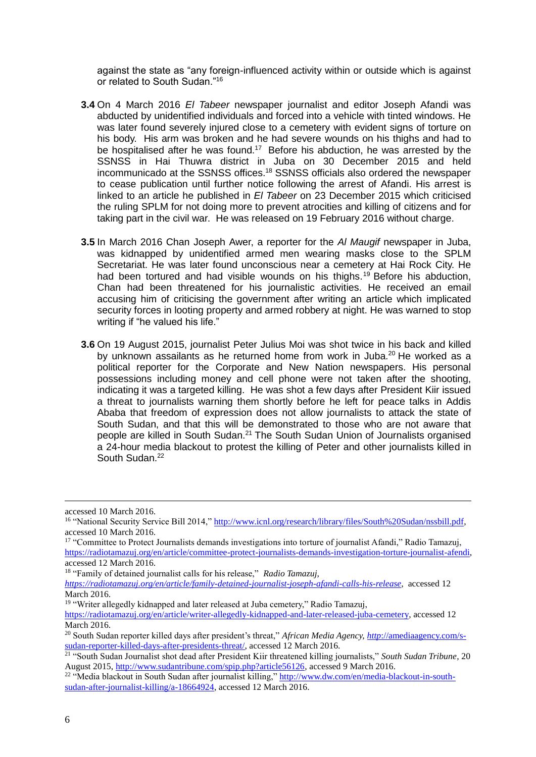against the state as "any foreign-influenced activity within or outside which is against or related to South Sudan."<sup>16</sup>

- **3.4** On 4 March 2016 *El Tabeer* newspaper journalist and editor Joseph Afandi was abducted by unidentified individuals and forced into a vehicle with tinted windows. He was later found severely injured close to a cemetery with evident signs of torture on his body. His arm was broken and he had severe wounds on his thighs and had to be hospitalised after he was found.<sup>17</sup> Before his abduction, he was arrested by the SSNSS in Hai Thuwra district in Juba on 30 December 2015 and held incommunicado at the SSNSS offices. <sup>18</sup> SSNSS officials also ordered the newspaper to cease publication until further notice following the arrest of Afandi. His arrest is linked to an article he published in *El Tabeer* on 23 December 2015 which criticised the ruling SPLM for not doing more to prevent atrocities and killing of citizens and for taking part in the civil war. He was released on 19 February 2016 without charge.
- **3.5** In March 2016 Chan Joseph Awer, a reporter for the *Al Maugif* newspaper in Juba, was kidnapped by unidentified armed men wearing masks close to the SPLM Secretariat. He was later found unconscious near a cemetery at Hai Rock City. He had been tortured and had visible wounds on his thighs.<sup>19</sup> Before his abduction, Chan had been threatened for his journalistic activities. He received an email accusing him of criticising the government after writing an article which implicated security forces in looting property and armed robbery at night. He was warned to stop writing if "he valued his life."
- **3.6** On 19 August 2015, journalist Peter Julius Moi was shot twice in his back and killed by unknown assailants as he returned home from work in Juba.<sup>20</sup> He worked as a political reporter for the Corporate and New Nation newspapers. His personal possessions including money and cell phone were not taken after the shooting, indicating it was a targeted killing. He was shot a few days after President Kiir issued a threat to journalists warning them shortly before he left for peace talks in Addis Ababa that freedom of expression does not allow journalists to attack the state of South Sudan, and that this will be demonstrated to those who are not aware that people are killed in South Sudan.<sup>21</sup> The South Sudan Union of Journalists organised a 24-hour media blackout to protest the killing of Peter and other journalists killed in South Sudan.<sup>22</sup>

<u>.</u>

accessed 10 March 2016.

<sup>16</sup> "National Security Service Bill 2014,[" http://www.icnl.org/research/library/files/South%20Sudan/nssbill.pdf,](http://www.icnl.org/research/library/files/South%20Sudan/nssbill.pdf) accessed 10 March 2016.

<sup>&</sup>lt;sup>17</sup> "Committee to Protect Journalists demands investigations into torture of journalist Afandi," Radio Tamazuj, [https://radiotamazuj.org/en/article/committee-protect-journalists-demands-investigation-torture-journalist-afendi,](https://radiotamazuj.org/en/article/committee-protect-journalists-demands-investigation-torture-journalist-afendi) accessed 12 March 2016.

<sup>18</sup> "Family of detained journalist calls for his release," *Radio Tamazuj,* 

*[https://radiotamazuj.org/en/article/family-detained-journalist-joseph-afandi-calls-his-release,](https://radiotamazuj.org/en/article/family-detained-journalist-joseph-afandi-calls-his-release)* accessed 12 March 2016.

<sup>&</sup>lt;sup>19</sup> "Writer allegedly kidnapped and later released at Juba cemetery," Radio Tamazuj,

[https://radiotamazuj.org/en/article/writer-allegedly-kidnapped-and-later-released-juba-cemetery,](https://radiotamazuj.org/en/article/writer-allegedly-kidnapped-and-later-released-juba-cemetery) accessed 12 March 2016.

<sup>20</sup> South Sudan reporter killed days after president's threat," *African Media Agency, http*[://amediaagency.com/s](http://amediaagency.com/s-sudan-reporter-killed-days-after-presidents-threat/)[sudan-reporter-killed-days-after-presidents-threat/,](http://amediaagency.com/s-sudan-reporter-killed-days-after-presidents-threat/) accessed 12 March 2016.

<sup>21</sup> "South Sudan Journalist shot dead after President Kiir threatened killing journalists," *South Sudan Tribune,* 20 August 2015, [http://www.sudantribune.com/spip.php?article56126,](http://www.sudantribune.com/spip.php?article56126) accessed 9 March 2016.

<sup>&</sup>lt;sup>22</sup> "Media blackout in South Sudan after journalist killing,[" http://www.dw.com/en/media-blackout-in-south](http://www.dw.com/en/media-blackout-in-south-sudan-after-journalist-killing/a-18664924)[sudan-after-journalist-killing/a-18664924,](http://www.dw.com/en/media-blackout-in-south-sudan-after-journalist-killing/a-18664924) accessed 12 March 2016.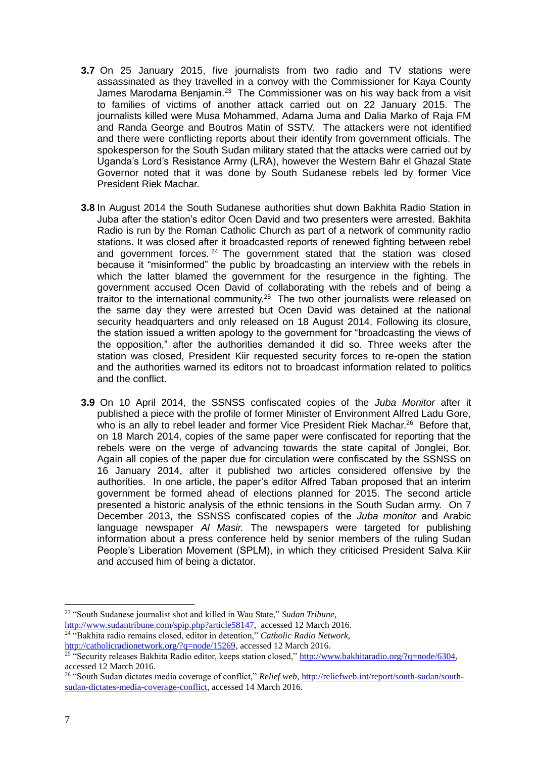- **3.7** On 25 January 2015, five journalists from two radio and TV stations were assassinated as they travelled in a convoy with the Commissioner for Kaya County James Marodama Benjamin.<sup>23</sup> The Commissioner was on his way back from a visit to families of victims of another attack carried out on 22 January 2015. The journalists killed were Musa Mohammed, Adama Juma and Dalia Marko of Raja FM and Randa George and Boutros Matin of SSTV. The attackers were not identified and there were conflicting reports about their identify from government officials. The spokesperson for the South Sudan military stated that the attacks were carried out by Uganda's Lord's Resistance Army (LRA), however the Western Bahr el Ghazal State Governor noted that it was done by South Sudanese rebels led by former Vice President Riek Machar.
- **3.8** In August 2014 the South Sudanese authorities shut down Bakhita Radio Station in Juba after the station's editor Ocen David and two presenters were arrested. Bakhita Radio is run by the Roman Catholic Church as part of a network of community radio stations. It was closed after it broadcasted reports of renewed fighting between rebel and government forces. <sup>24</sup> The government stated that the station was closed because it "misinformed" the public by broadcasting an interview with the rebels in which the latter blamed the government for the resurgence in the fighting. The government accused Ocen David of collaborating with the rebels and of being a traitor to the international community.<sup>25</sup> The two other journalists were released on the same day they were arrested but Ocen David was detained at the national security headquarters and only released on 18 August 2014. Following its closure, the station issued a written apology to the government for "broadcasting the views of the opposition," after the authorities demanded it did so. Three weeks after the station was closed, President Kiir requested security forces to re-open the station and the authorities warned its editors not to broadcast information related to politics and the conflict.
- **3.9** On 10 April 2014, the SSNSS confiscated copies of the *Juba Monitor* after it published a piece with the profile of former Minister of Environment Alfred Ladu Gore, who is an ally to rebel leader and former Vice President Riek Machar.<sup>26</sup> Before that, on 18 March 2014, copies of the same paper were confiscated for reporting that the rebels were on the verge of advancing towards the state capital of Jonglei, Bor. Again all copies of the paper due for circulation were confiscated by the SSNSS on 16 January 2014, after it published two articles considered offensive by the authorities. In one article, the paper's editor Alfred Taban proposed that an interim government be formed ahead of elections planned for 2015. The second article presented a historic analysis of the ethnic tensions in the South Sudan army. On 7 December 2013, the SSNSS confiscated copies of the *Juba monitor* and Arabic language newspaper *Al Masir.* The newspapers were targeted for publishing information about a press conference held by senior members of the ruling Sudan People's Liberation Movement (SPLM), in which they criticised President Salva Kiir and accused him of being a dictator.

<sup>24</sup> "Bakhita radio remains closed, editor in detention," *Catholic Radio Network,*  [http://catholicradionetwork.org/?q=node/15269,](http://catholicradionetwork.org/?q=node/15269) accessed 12 March 2016.

<sup>1</sup> <sup>23</sup> "South Sudanese journalist shot and killed in Wau State," *Sudan Tribune,*  [http://www.sudantribune.com/spip.php?article58147,](http://www.sudantribune.com/spip.php?article58147) accessed 12 March 2016.

<sup>&</sup>lt;sup>25</sup> "Security releases Bakhita Radio editor, keeps station closed,[" http://www.bakhitaradio.org/?q=node/6304,](http://www.bakhitaradio.org/?q=node/6304) accessed 12 March 2016.

<sup>26</sup> "South Sudan dictates media coverage of conflict," *Relief web,* [http://reliefweb.int/report/south-sudan/south](http://reliefweb.int/report/south-sudan/south-sudan-dictates-media-coverage-conflict)[sudan-dictates-media-coverage-conflict,](http://reliefweb.int/report/south-sudan/south-sudan-dictates-media-coverage-conflict) accessed 14 March 2016.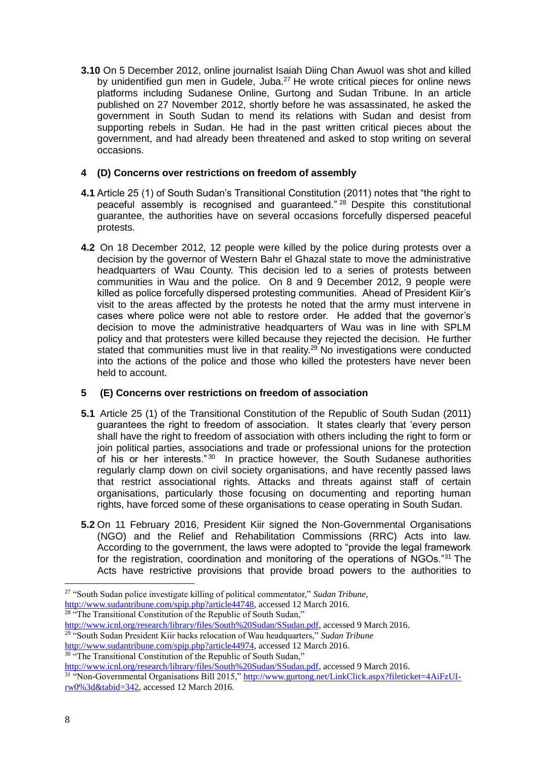**3.10** On 5 December 2012, online journalist Isaiah Diing Chan Awuol was shot and killed by unidentified gun men in Gudele, Juba.<sup>27</sup> He wrote critical pieces for online news platforms including Sudanese Online, Gurtong and Sudan Tribune. In an article published on 27 November 2012, shortly before he was assassinated, he asked the government in South Sudan to mend its relations with Sudan and desist from supporting rebels in Sudan. He had in the past written critical pieces about the government, and had already been threatened and asked to stop writing on several occasions.

### **4 (D) Concerns over restrictions on freedom of assembly**

- **4.1** Article 25 (1) of South Sudan's Transitional Constitution (2011) notes that "the right to peaceful assembly is recognised and guaranteed." <sup>28</sup> Despite this constitutional guarantee, the authorities have on several occasions forcefully dispersed peaceful protests.
- **4.2** On 18 December 2012, 12 people were killed by the police during protests over a decision by the governor of Western Bahr el Ghazal state to move the administrative headquarters of Wau County. This decision led to a series of protests between communities in Wau and the police. On 8 and 9 December 2012, 9 people were killed as police forcefully dispersed protesting communities. Ahead of President Kiir's visit to the areas affected by the protests he noted that the army must intervene in cases where police were not able to restore order. He added that the governor's decision to move the administrative headquarters of Wau was in line with SPLM policy and that protesters were killed because they rejected the decision. He further stated that communities must live in that reality.<sup>29</sup> No investigations were conducted into the actions of the police and those who killed the protesters have never been held to account.

## **5 (E) Concerns over restrictions on freedom of association**

- **5.1** Article 25 (1) of the Transitional Constitution of the Republic of South Sudan (2011) guarantees the right to freedom of association. It states clearly that 'every person shall have the right to freedom of association with others including the right to form or join political parties, associations and trade or professional unions for the protection of his or her interests."<sup>30</sup> In practice however, the South Sudanese authorities regularly clamp down on civil society organisations, and have recently passed laws that restrict associational rights. Attacks and threats against staff of certain organisations, particularly those focusing on documenting and reporting human rights, have forced some of these organisations to cease operating in South Sudan.
- **5.2** On 11 February 2016, President Kiir signed the Non-Governmental Organisations (NGO) and the Relief and Rehabilitation Commissions (RRC) Acts into law. According to the government, the laws were adopted to "provide the legal framework for the registration, coordination and monitoring of the operations of NGOs."<sup>31</sup> The Acts have restrictive provisions that provide broad powers to the authorities to

[http://www.icnl.org/research/library/files/South%20Sudan/SSudan.pdf,](http://www.icnl.org/research/library/files/South%20Sudan/SSudan.pdf) accessed 9 March 2016. <sup>29</sup> "South Sudan President Kiir backs relocation of Wau headquarters," *Sudan Tribune*

<sup>30</sup> "The Transitional Constitution of the Republic of South Sudan,"

<sup>27</sup> "South Sudan police investigate killing of political commentator," *Sudan Tribune,*  [http://www.sudantribune.com/spip.php?article44748,](http://www.sudantribune.com/spip.php?article44748) accessed 12 March 2016. <sup>28</sup> "The Transitional Constitution of the Republic of South Sudan,"

[http://www.sudantribune.com/spip.php?article44974,](http://www.sudantribune.com/spip.php?article44974) accessed 12 March 2016.

[http://www.icnl.org/research/library/files/South%20Sudan/SSudan.pdf,](http://www.icnl.org/research/library/files/South%20Sudan/SSudan.pdf) accessed 9 March 2016. <sup>31</sup> "Non-Governmental Organisations Bill 2015," [http://www.gurtong.net/LinkClick.aspx?fileticket=4AiFzUI](http://www.gurtong.net/LinkClick.aspx?fileticket=4AiFzUI-rw0%3d&tabid=342)[rw0%3d&tabid=342,](http://www.gurtong.net/LinkClick.aspx?fileticket=4AiFzUI-rw0%3d&tabid=342) accessed 12 March 2016.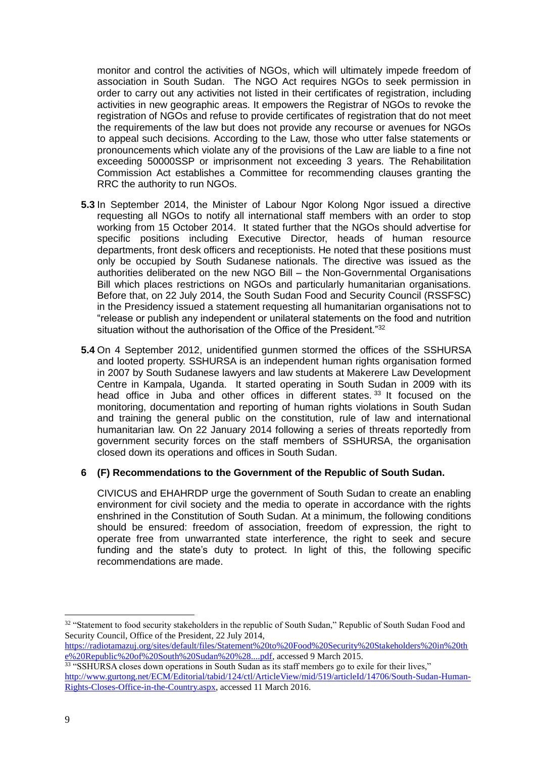monitor and control the activities of NGOs, which will ultimately impede freedom of association in South Sudan. The NGO Act requires NGOs to seek permission in order to carry out any activities not listed in their certificates of registration, including activities in new geographic areas. It empowers the Registrar of NGOs to revoke the registration of NGOs and refuse to provide certificates of registration that do not meet the requirements of the law but does not provide any recourse or avenues for NGOs to appeal such decisions. According to the Law, those who utter false statements or pronouncements which violate any of the provisions of the Law are liable to a fine not exceeding 50000SSP or imprisonment not exceeding 3 years. The Rehabilitation Commission Act establishes a Committee for recommending clauses granting the RRC the authority to run NGOs.

- **5.3** In September 2014, the Minister of Labour Ngor Kolong Ngor issued a directive requesting all NGOs to notify all international staff members with an order to stop working from 15 October 2014. It stated further that the NGOs should advertise for specific positions including Executive Director, heads of human resource departments, front desk officers and receptionists. He noted that these positions must only be occupied by South Sudanese nationals. The directive was issued as the authorities deliberated on the new NGO Bill – the Non-Governmental Organisations Bill which places restrictions on NGOs and particularly humanitarian organisations. Before that, on 22 July 2014, the South Sudan Food and Security Council (RSSFSC) in the Presidency issued a statement requesting all humanitarian organisations not to "release or publish any independent or unilateral statements on the food and nutrition situation without the authorisation of the Office of the President."32
- **5.4** On 4 September 2012, unidentified gunmen stormed the offices of the SSHURSA and looted property. SSHURSA is an independent human rights organisation formed in 2007 by South Sudanese lawyers and law students at Makerere Law Development Centre in Kampala, Uganda. It started operating in South Sudan in 2009 with its head office in Juba and other offices in different states. <sup>33</sup> It focused on the monitoring, documentation and reporting of human rights violations in South Sudan and training the general public on the constitution, rule of law and international humanitarian law. On 22 January 2014 following a series of threats reportedly from government security forces on the staff members of SSHURSA, the organisation closed down its operations and offices in South Sudan.

### **6 (F) Recommendations to the Government of the Republic of South Sudan.**

CIVICUS and EHAHRDP urge the government of South Sudan to create an enabling environment for civil society and the media to operate in accordance with the rights enshrined in the Constitution of South Sudan. At a minimum, the following conditions should be ensured: freedom of association, freedom of expression, the right to operate free from unwarranted state interference, the right to seek and secure funding and the state's duty to protect. In light of this, the following specific recommendations are made.

<sup>&</sup>lt;sup>32</sup> "Statement to food security stakeholders in the republic of South Sudan," Republic of South Sudan Food and Security Council, Office of the President, 22 July 2014,

[https://radiotamazuj.org/sites/default/files/Statement%20to%20Food%20Security%20Stakeholders%20in%20th](https://radiotamazuj.org/sites/default/files/Statement%20to%20Food%20Security%20Stakeholders%20in%20the%20Republic%20of%20South%20Sudan%20%28....pdf) [e%20Republic%20of%20South%20Sudan%20%28....pdf,](https://radiotamazuj.org/sites/default/files/Statement%20to%20Food%20Security%20Stakeholders%20in%20the%20Republic%20of%20South%20Sudan%20%28....pdf) accessed 9 March 2015.

<sup>&</sup>lt;sup>33</sup> "SSHURSA closes down operations in South Sudan as its staff members go to exile for their lives," [http://www.gurtong.net/ECM/Editorial/tabid/124/ctl/ArticleView/mid/519/articleId/14706/South-Sudan-Human-](http://www.gurtong.net/ECM/Editorial/tabid/124/ctl/ArticleView/mid/519/articleId/14706/South-Sudan-Human-Rights-Closes-Office-in-the-Country.aspx)[Rights-Closes-Office-in-the-Country.aspx,](http://www.gurtong.net/ECM/Editorial/tabid/124/ctl/ArticleView/mid/519/articleId/14706/South-Sudan-Human-Rights-Closes-Office-in-the-Country.aspx) accessed 11 March 2016.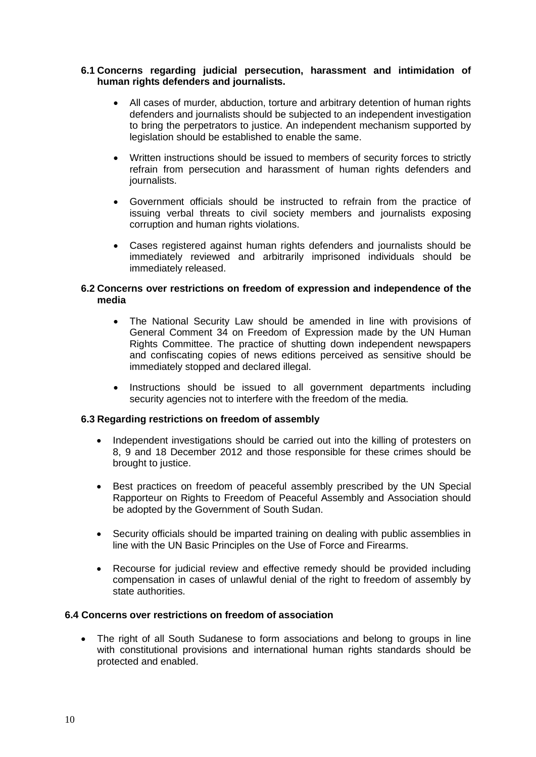### **6.1 Concerns regarding judicial persecution, harassment and intimidation of human rights defenders and journalists.**

- All cases of murder, abduction, torture and arbitrary detention of human rights defenders and journalists should be subjected to an independent investigation to bring the perpetrators to justice. An independent mechanism supported by legislation should be established to enable the same.
- Written instructions should be issued to members of security forces to strictly refrain from persecution and harassment of human rights defenders and journalists.
- Government officials should be instructed to refrain from the practice of issuing verbal threats to civil society members and journalists exposing corruption and human rights violations.
- Cases registered against human rights defenders and journalists should be immediately reviewed and arbitrarily imprisoned individuals should be immediately released.

#### **6.2 Concerns over restrictions on freedom of expression and independence of the media**

- The National Security Law should be amended in line with provisions of General Comment 34 on Freedom of Expression made by the UN Human Rights Committee. The practice of shutting down independent newspapers and confiscating copies of news editions perceived as sensitive should be immediately stopped and declared illegal.
- Instructions should be issued to all government departments including security agencies not to interfere with the freedom of the media.

### **6.3 Regarding restrictions on freedom of assembly**

- Independent investigations should be carried out into the killing of protesters on 8, 9 and 18 December 2012 and those responsible for these crimes should be brought to justice.
- Best practices on freedom of peaceful assembly prescribed by the UN Special Rapporteur on Rights to Freedom of Peaceful Assembly and Association should be adopted by the Government of South Sudan.
- Security officials should be imparted training on dealing with public assemblies in line with the UN Basic Principles on the Use of Force and Firearms.
- Recourse for judicial review and effective remedy should be provided including compensation in cases of unlawful denial of the right to freedom of assembly by state authorities.

### **6.4 Concerns over restrictions on freedom of association**

 The right of all South Sudanese to form associations and belong to groups in line with constitutional provisions and international human rights standards should be protected and enabled.